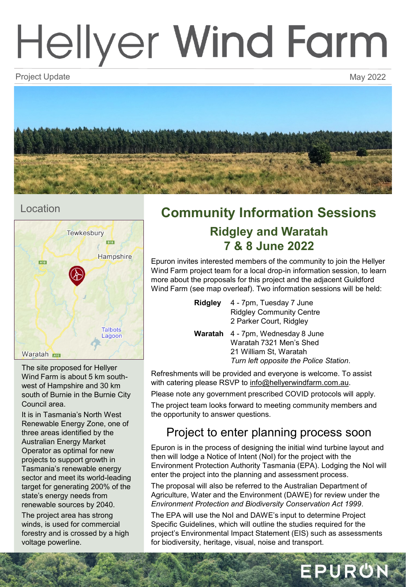# Hellyer Wind Farm

Project Update May 2022 Project Update May 2022



### Location



The site proposed for Hellyer Wind Farm is about 5 km southwest of Hampshire and 30 km south of Burnie in the Burnie City Council area.

It is in Tasmania's North West Renewable Energy Zone, one of three areas identified by the Australian Energy Market Operator as optimal for new projects to support growth in Tasmania's renewable energy sector and meet its world-leading target for generating 200% of the state's energy needs from renewable sources by 2040.

The project area has strong winds, is used for commercial forestry and is crossed by a high voltage powerline.

## **Community Information Sessions Ridgley and Waratah 7 & 8 June 2022**

Epuron invites interested members of the community to join the Hellyer Wind Farm project team for a local drop-in information session, to learn more about the proposals for this project and the adjacent Guildford Wind Farm (see map overleaf). Two information sessions will be held:

| Ridgley | 4 - 7pm, Tuesday 7 June         |
|---------|---------------------------------|
|         | <b>Ridgley Community Centre</b> |
|         | 2 Parker Court, Ridgley         |

**Waratah** 4 - 7pm, Wednesday 8 June Waratah 7321 Men's Shed 21 William St, Waratah *Turn left opposite the Police Station*.

Refreshments will be provided and everyone is welcome. To assist with catering please RSVP to [info@hellyerwindfarm.com.au](mailto:info@guildfordwindfarm.com.au).

Please note any government prescribed COVID protocols will apply.

The project team looks forward to meeting community members and the opportunity to answer questions.

## Project to enter planning process soon

Epuron is in the process of designing the initial wind turbine layout and then will lodge a Notice of Intent (NoI) for the project with the Environment Protection Authority Tasmania (EPA). Lodging the NoI will enter the project into the planning and assessment process.

The proposal will also be referred to the Australian Department of Agriculture, Water and the Environment (DAWE) for review under the *Environment Protection and Biodiversity Conservation Act 1999*.

The EPA will use the NoI and DAWE's input to determine Project Specific Guidelines, which will outline the studies required for the project's Environmental Impact Statement (EIS) such as assessments for biodiversity, heritage, visual, noise and transport.

EPURON